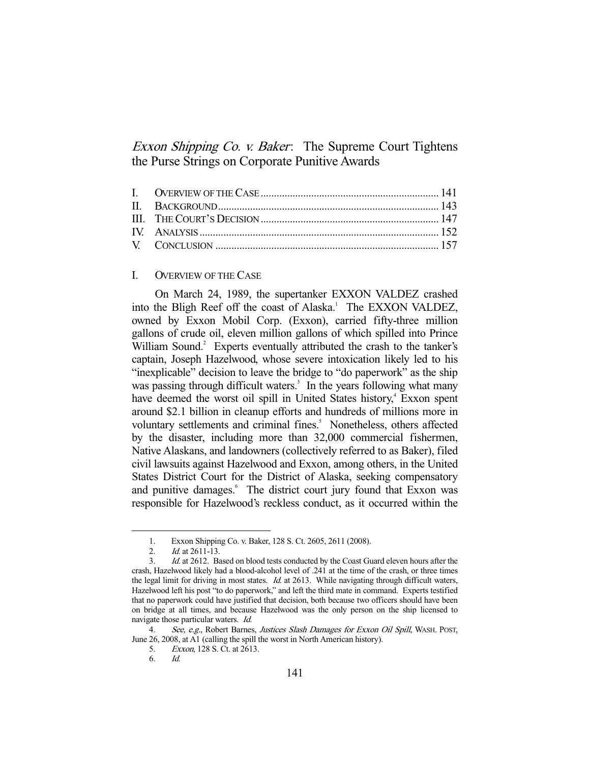Exxon Shipping Co. v. Baker: The Supreme Court Tightens the Purse Strings on Corporate Punitive Awards

# I. OVERVIEW OF THE CASE

 On March 24, 1989, the supertanker EXXON VALDEZ crashed into the Bligh Reef off the coast of Alaska.<sup>1</sup> The EXXON VALDEZ, owned by Exxon Mobil Corp. (Exxon), carried fifty-three million gallons of crude oil, eleven million gallons of which spilled into Prince William Sound.<sup>2</sup> Experts eventually attributed the crash to the tanker's captain, Joseph Hazelwood, whose severe intoxication likely led to his "inexplicable" decision to leave the bridge to "do paperwork" as the ship was passing through difficult waters.<sup>3</sup> In the years following what many have deemed the worst oil spill in United States history,<sup>4</sup> Exxon spent around \$2.1 billion in cleanup efforts and hundreds of millions more in voluntary settlements and criminal fines.<sup>5</sup> Nonetheless, others affected by the disaster, including more than 32,000 commercial fishermen, Native Alaskans, and landowners (collectively referred to as Baker), filed civil lawsuits against Hazelwood and Exxon, among others, in the United States District Court for the District of Alaska, seeking compensatory and punitive damages.<sup>6</sup> The district court jury found that Exxon was responsible for Hazelwood's reckless conduct, as it occurred within the

 <sup>1.</sup> Exxon Shipping Co. v. Baker, 128 S. Ct. 2605, 2611 (2008).

<sup>2.</sup> *Id.* at 2611-13.

<sup>3.</sup> *Id.* at 2612. Based on blood tests conducted by the Coast Guard eleven hours after the crash, Hazelwood likely had a blood-alcohol level of .241 at the time of the crash, or three times the legal limit for driving in most states. Id. at 2613. While navigating through difficult waters, Hazelwood left his post "to do paperwork," and left the third mate in command. Experts testified that no paperwork could have justified that decision, both because two officers should have been on bridge at all times, and because Hazelwood was the only person on the ship licensed to navigate those particular waters. Id.

<sup>4.</sup> See, e.g., Robert Barnes, Justices Slash Damages for Exxon Oil Spill, WASH. POST, June 26, 2008, at A1 (calling the spill the worst in North American history).

 <sup>5.</sup> Exxon, 128 S. Ct. at 2613.

 <sup>6.</sup> Id.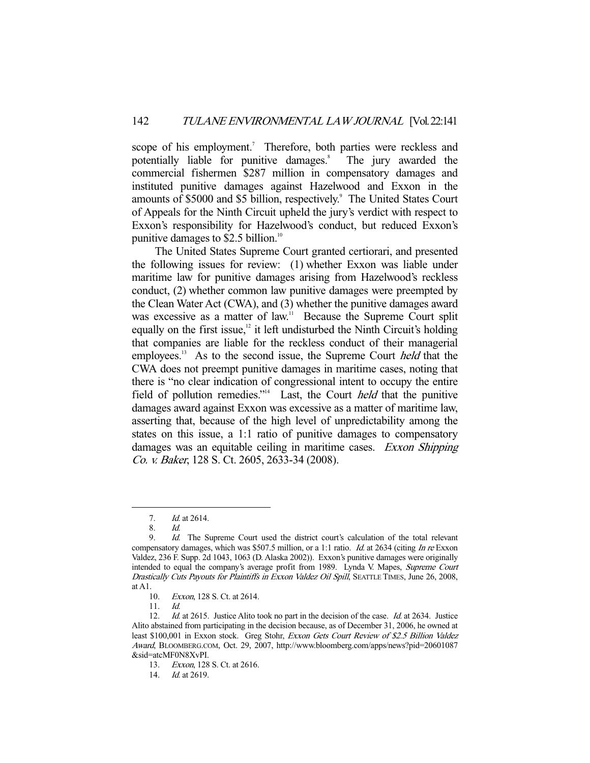scope of his employment.<sup>7</sup> Therefore, both parties were reckless and potentially liable for punitive damages.<sup>8</sup> The jury awarded the commercial fishermen \$287 million in compensatory damages and instituted punitive damages against Hazelwood and Exxon in the amounts of \$5000 and \$5 billion, respectively.<sup>9</sup> The United States Court of Appeals for the Ninth Circuit upheld the jury's verdict with respect to Exxon's responsibility for Hazelwood's conduct, but reduced Exxon's punitive damages to  $$2.5$  billion.<sup>10</sup>

 The United States Supreme Court granted certiorari, and presented the following issues for review: (1) whether Exxon was liable under maritime law for punitive damages arising from Hazelwood's reckless conduct, (2) whether common law punitive damages were preempted by the Clean Water Act (CWA), and (3) whether the punitive damages award was excessive as a matter of law.<sup>11</sup> Because the Supreme Court split equally on the first issue, $12$  it left undisturbed the Ninth Circuit's holding that companies are liable for the reckless conduct of their managerial employees.<sup>13</sup> As to the second issue, the Supreme Court *held* that the CWA does not preempt punitive damages in maritime cases, noting that there is "no clear indication of congressional intent to occupy the entire field of pollution remedies."<sup>14</sup> Last, the Court *held* that the punitive damages award against Exxon was excessive as a matter of maritime law, asserting that, because of the high level of unpredictability among the states on this issue, a 1:1 ratio of punitive damages to compensatory damages was an equitable ceiling in maritime cases. Exxon Shipping Co. v. Baker, 128 S. Ct. 2605, 2633-34 (2008).

 <sup>7.</sup> Id. at 2614.

 <sup>8.</sup> Id.

 <sup>9.</sup> Id. The Supreme Court used the district court's calculation of the total relevant compensatory damages, which was \$507.5 million, or a 1:1 ratio. *Id.* at 2634 (citing *In re* Exxon Valdez, 236 F. Supp. 2d 1043, 1063 (D. Alaska 2002)). Exxon's punitive damages were originally intended to equal the company's average profit from 1989. Lynda V. Mapes, Supreme Court Drastically Cuts Payouts for Plaintiffs in Exxon Valdez Oil Spill, SEATTLE TIMES, June 26, 2008, at A1.

 <sup>10.</sup> Exxon, 128 S. Ct. at 2614.

 <sup>11.</sup> Id.

<sup>12.</sup> Id. at 2615. Justice Alito took no part in the decision of the case. Id. at 2634. Justice Alito abstained from participating in the decision because, as of December 31, 2006, he owned at least \$100,001 in Exxon stock. Greg Stohr, Exxon Gets Court Review of \$2.5 Billion Valdez Award, BLOOMBERG.COM, Oct. 29, 2007, http://www.bloomberg.com/apps/news?pid=20601087 &sid=atcMF0N8XvPI.

 <sup>13.</sup> Exxon, 128 S. Ct. at 2616.

<sup>14.</sup> *Id.* at 2619.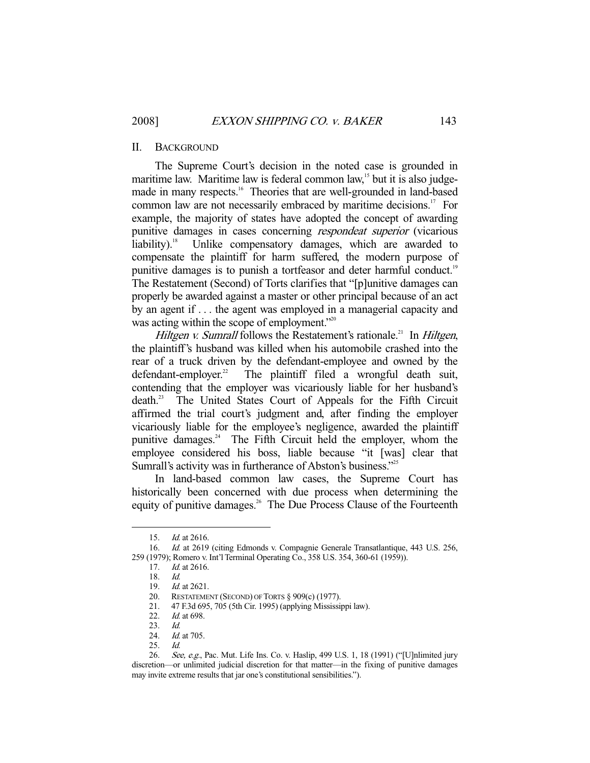#### II. BACKGROUND

 The Supreme Court's decision in the noted case is grounded in maritime law. Maritime law is federal common law,<sup>15</sup> but it is also judgemade in many respects.<sup>16</sup> Theories that are well-grounded in land-based common law are not necessarily embraced by maritime decisions.<sup>17</sup> For example, the majority of states have adopted the concept of awarding punitive damages in cases concerning respondeat superior (vicarious liability).<sup>18</sup> Unlike compensatory damages, which are awarded to compensate the plaintiff for harm suffered, the modern purpose of punitive damages is to punish a tortfeasor and deter harmful conduct.<sup>19</sup> The Restatement (Second) of Torts clarifies that "[p]unitive damages can properly be awarded against a master or other principal because of an act by an agent if . . . the agent was employed in a managerial capacity and was acting within the scope of employment."<sup>20</sup>

*Hiltgen v. Sumrall* follows the Restatement's rationale.<sup>21</sup> In *Hiltgen*, the plaintiff's husband was killed when his automobile crashed into the rear of a truck driven by the defendant-employee and owned by the defendant-employer.<sup>22</sup> The plaintiff filed a wrongful death suit, contending that the employer was vicariously liable for her husband's death.23 The United States Court of Appeals for the Fifth Circuit affirmed the trial court's judgment and, after finding the employer vicariously liable for the employee's negligence, awarded the plaintiff punitive damages.<sup>24</sup> The Fifth Circuit held the employer, whom the employee considered his boss, liable because "it [was] clear that Sumrall's activity was in furtherance of Abston's business."<sup>25</sup>

 In land-based common law cases, the Supreme Court has historically been concerned with due process when determining the equity of punitive damages.<sup>26</sup> The Due Process Clause of the Fourteenth

 <sup>15.</sup> Id. at 2616.

 <sup>16.</sup> Id. at 2619 (citing Edmonds v. Compagnie Generale Transatlantique, 443 U.S. 256, 259 (1979); Romero v. Int'l Terminal Operating Co., 358 U.S. 354, 360-61 (1959)).

 <sup>17.</sup> Id. at 2616.

 <sup>18.</sup> Id.

 <sup>19.</sup> Id. at 2621.

<sup>20.</sup> RESTATEMENT (SECOND) OF TORTS § 909(c) (1977).

 <sup>21. 47</sup> F.3d 695, 705 (5th Cir. 1995) (applying Mississippi law).

 <sup>22.</sup> Id. at 698.

 <sup>23.</sup> Id.

<sup>24.</sup> *Id.* at 705.

 <sup>25.</sup> Id.

<sup>26.</sup> See, e.g., Pac. Mut. Life Ins. Co. v. Haslip, 499 U.S. 1, 18 (1991) ("[U]nlimited jury discretion—or unlimited judicial discretion for that matter—in the fixing of punitive damages may invite extreme results that jar one's constitutional sensibilities.").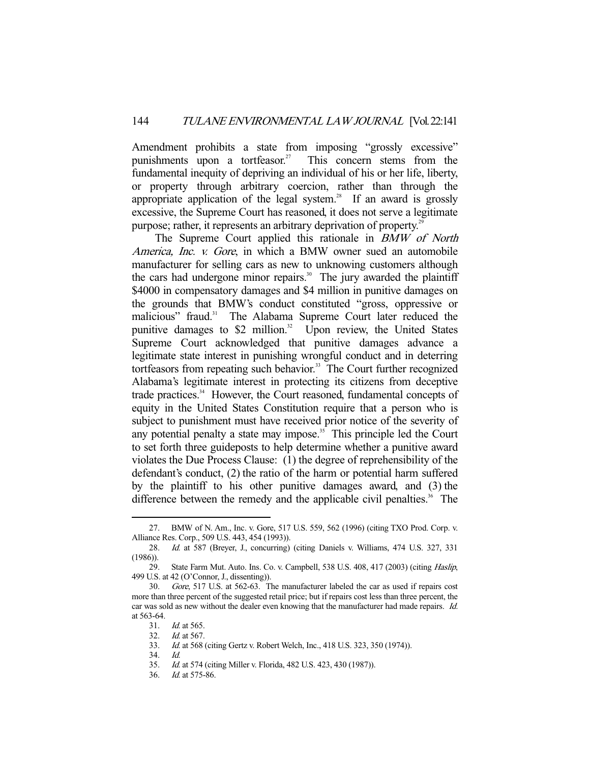Amendment prohibits a state from imposing "grossly excessive" punishments upon a tortfeasor.<sup>27</sup> This concern stems from the fundamental inequity of depriving an individual of his or her life, liberty, or property through arbitrary coercion, rather than through the appropriate application of the legal system.<sup>28</sup> If an award is grossly excessive, the Supreme Court has reasoned, it does not serve a legitimate purpose; rather, it represents an arbitrary deprivation of property.<sup>29</sup>

The Supreme Court applied this rationale in *BMW of North* America, Inc. v. Gore, in which a BMW owner sued an automobile manufacturer for selling cars as new to unknowing customers although the cars had undergone minor repairs.<sup>30</sup> The jury awarded the plaintiff \$4000 in compensatory damages and \$4 million in punitive damages on the grounds that BMW's conduct constituted "gross, oppressive or malicious" fraud.<sup>31</sup> The Alabama Supreme Court later reduced the punitive damages to  $$2$  million.<sup>32</sup> Upon review, the United States Supreme Court acknowledged that punitive damages advance a legitimate state interest in punishing wrongful conduct and in deterring tortfeasors from repeating such behavior.<sup>33</sup> The Court further recognized Alabama's legitimate interest in protecting its citizens from deceptive trade practices.<sup>34</sup> However, the Court reasoned, fundamental concepts of equity in the United States Constitution require that a person who is subject to punishment must have received prior notice of the severity of any potential penalty a state may impose.<sup>35</sup> This principle led the Court to set forth three guideposts to help determine whether a punitive award violates the Due Process Clause: (1) the degree of reprehensibility of the defendant's conduct, (2) the ratio of the harm or potential harm suffered by the plaintiff to his other punitive damages award, and (3) the difference between the remedy and the applicable civil penalties.<sup>36</sup> The

 <sup>27.</sup> BMW of N. Am., Inc. v. Gore, 517 U.S. 559, 562 (1996) (citing TXO Prod. Corp. v. Alliance Res. Corp., 509 U.S. 443, 454 (1993)).

 <sup>28.</sup> Id. at 587 (Breyer, J., concurring) (citing Daniels v. Williams, 474 U.S. 327, 331  $(1986)$ ).

<sup>29.</sup> State Farm Mut. Auto. Ins. Co. v. Campbell, 538 U.S. 408, 417 (2003) (citing *Haslip*, 499 U.S. at 42 (O'Connor, J., dissenting)).

 <sup>30.</sup> Gore, 517 U.S. at 562-63. The manufacturer labeled the car as used if repairs cost more than three percent of the suggested retail price; but if repairs cost less than three percent, the car was sold as new without the dealer even knowing that the manufacturer had made repairs. Id. at 563-64.

 <sup>31.</sup> Id. at 565.

 <sup>32.</sup> Id. at 567.

 <sup>33.</sup> Id. at 568 (citing Gertz v. Robert Welch, Inc., 418 U.S. 323, 350 (1974)).

 <sup>34.</sup> Id.

 <sup>35.</sup> Id. at 574 (citing Miller v. Florida, 482 U.S. 423, 430 (1987)).

 <sup>36.</sup> Id. at 575-86.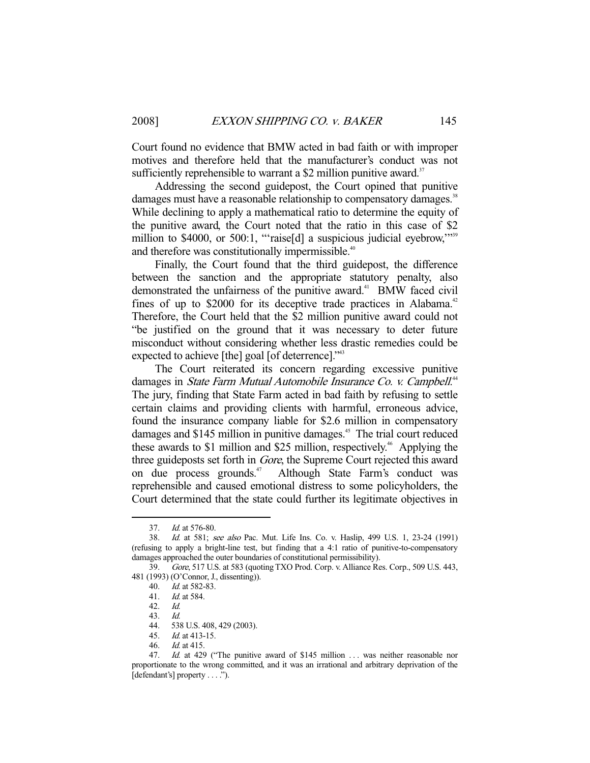Court found no evidence that BMW acted in bad faith or with improper motives and therefore held that the manufacturer's conduct was not sufficiently reprehensible to warrant a \$2 million punitive award.<sup>37</sup>

 Addressing the second guidepost, the Court opined that punitive damages must have a reasonable relationship to compensatory damages.<sup>38</sup> While declining to apply a mathematical ratio to determine the equity of the punitive award, the Court noted that the ratio in this case of \$2 million to \$4000, or 500:1, "raise[d] a suspicious judicial eyebrow,""<sup>39</sup> and therefore was constitutionally impermissible.<sup>40</sup>

 Finally, the Court found that the third guidepost, the difference between the sanction and the appropriate statutory penalty, also demonstrated the unfairness of the punitive award.<sup>41</sup> BMW faced civil fines of up to  $$2000$  for its deceptive trade practices in Alabama.<sup>42</sup> Therefore, the Court held that the \$2 million punitive award could not "be justified on the ground that it was necessary to deter future misconduct without considering whether less drastic remedies could be expected to achieve [the] goal [of deterrence]."<sup>43</sup>

 The Court reiterated its concern regarding excessive punitive damages in State Farm Mutual Automobile Insurance Co. v. Campbell.<sup>44</sup> The jury, finding that State Farm acted in bad faith by refusing to settle certain claims and providing clients with harmful, erroneous advice, found the insurance company liable for \$2.6 million in compensatory damages and \$145 million in punitive damages.<sup>45</sup> The trial court reduced these awards to \$1 million and \$25 million, respectively.<sup>46</sup> Applying the three guideposts set forth in Gore, the Supreme Court rejected this award on due process grounds.<sup>47</sup> Although State Farm's conduct was reprehensible and caused emotional distress to some policyholders, the Court determined that the state could further its legitimate objectives in

 <sup>37.</sup> Id. at 576-80.

 <sup>38.</sup> Id. at 581; see also Pac. Mut. Life Ins. Co. v. Haslip, 499 U.S. 1, 23-24 (1991) (refusing to apply a bright-line test, but finding that a 4:1 ratio of punitive-to-compensatory damages approached the outer boundaries of constitutional permissibility).

 <sup>39.</sup> Gore, 517 U.S. at 583 (quoting TXO Prod. Corp. v. Alliance Res. Corp., 509 U.S. 443, 481 (1993) (O'Connor, J., dissenting)).

<sup>40.</sup> *Id.* at 582-83.<br>41. *Id.* at 584.

*Id.* at 584.

 <sup>42.</sup> Id.

 <sup>43.</sup> Id.

 <sup>44. 538</sup> U.S. 408, 429 (2003).

 <sup>45.</sup> Id. at 413-15.

 <sup>46.</sup> Id. at 415.

<sup>47.</sup> Id. at 429 ("The punitive award of \$145 million ... was neither reasonable nor proportionate to the wrong committed, and it was an irrational and arbitrary deprivation of the [defendant's] property . . . .").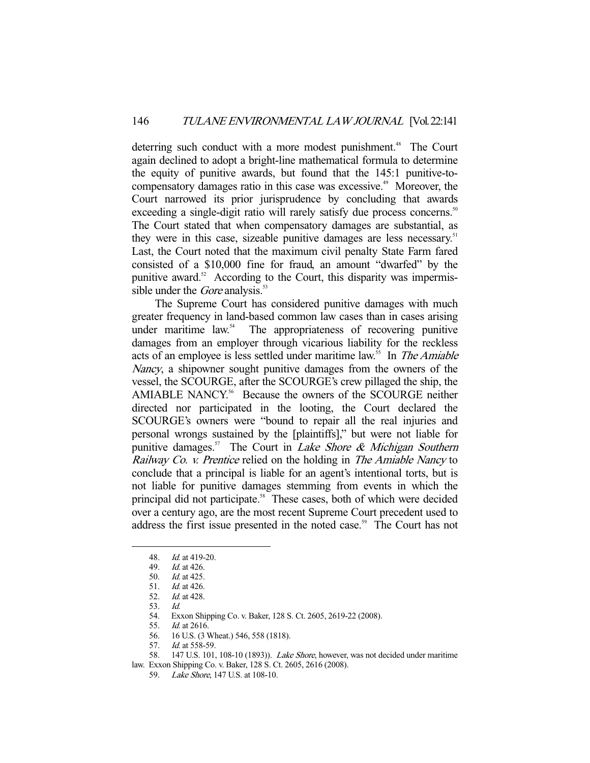deterring such conduct with a more modest punishment.<sup>48</sup> The Court again declined to adopt a bright-line mathematical formula to determine the equity of punitive awards, but found that the 145:1 punitive-tocompensatory damages ratio in this case was excessive.<sup>49</sup> Moreover, the Court narrowed its prior jurisprudence by concluding that awards exceeding a single-digit ratio will rarely satisfy due process concerns.<sup>50</sup> The Court stated that when compensatory damages are substantial, as they were in this case, sizeable punitive damages are less necessary.<sup>51</sup> Last, the Court noted that the maximum civil penalty State Farm fared consisted of a \$10,000 fine for fraud, an amount "dwarfed" by the punitive award. $52$  According to the Court, this disparity was impermissible under the *Gore* analysis. $53$ 

 The Supreme Court has considered punitive damages with much greater frequency in land-based common law cases than in cases arising under maritime  $law<sup>54</sup>$ . The appropriateness of recovering punitive damages from an employer through vicarious liability for the reckless acts of an employee is less settled under maritime law.<sup>55</sup> In *The Amiable* Nancy, a shipowner sought punitive damages from the owners of the vessel, the SCOURGE, after the SCOURGE's crew pillaged the ship, the AMIABLE NANCY.<sup>56</sup> Because the owners of the SCOURGE neither directed nor participated in the looting, the Court declared the SCOURGE's owners were "bound to repair all the real injuries and personal wrongs sustained by the [plaintiffs]," but were not liable for punitive damages.<sup>57</sup> The Court in *Lake Shore & Michigan Southern* Railway Co. v. Prentice relied on the holding in The Amiable Nancy to conclude that a principal is liable for an agent's intentional torts, but is not liable for punitive damages stemming from events in which the principal did not participate.<sup>58</sup> These cases, both of which were decided over a century ago, are the most recent Supreme Court precedent used to address the first issue presented in the noted case.<sup>59</sup> The Court has not

-

57. Id. at 558-59.

 <sup>48.</sup> Id. at 419-20.

 <sup>49.</sup> Id. at 426.

 <sup>50.</sup> Id. at 425.

 <sup>51.</sup> Id. at 426.

 <sup>52.</sup> Id. at 428.

 <sup>53.</sup> Id.

 <sup>54.</sup> Exxon Shipping Co. v. Baker, 128 S. Ct. 2605, 2619-22 (2008).

 <sup>55.</sup> Id. at 2616.

 <sup>56. 16</sup> U.S. (3 Wheat.) 546, 558 (1818).

<sup>58. 147</sup> U.S. 101, 108-10 (1893)). *Lake Shore*, however, was not decided under maritime law. Exxon Shipping Co. v. Baker, 128 S. Ct. 2605, 2616 (2008).

 <sup>59.</sup> Lake Shore, 147 U.S. at 108-10.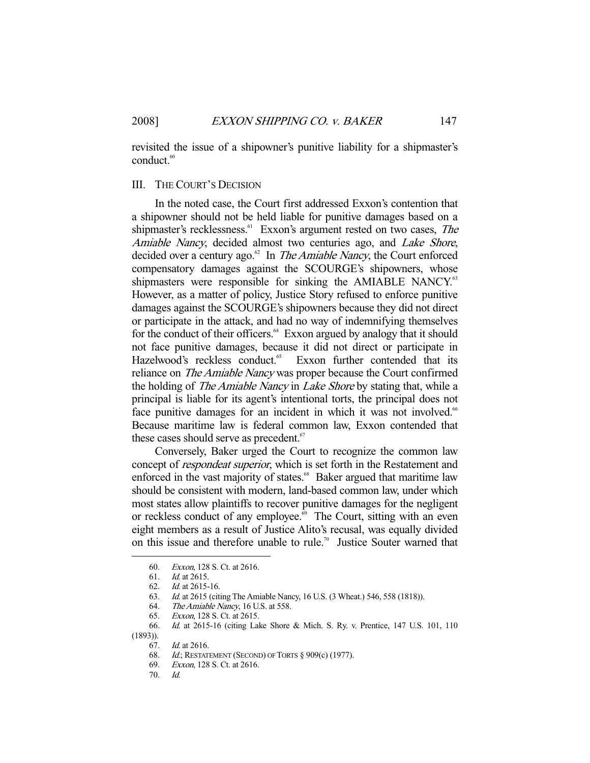revisited the issue of a shipowner's punitive liability for a shipmaster's conduct.<sup>60</sup>

### III. THE COURT'S DECISION

 In the noted case, the Court first addressed Exxon's contention that a shipowner should not be held liable for punitive damages based on a shipmaster's recklessness.<sup>61</sup> Exxon's argument rested on two cases, *The* Amiable Nancy, decided almost two centuries ago, and Lake Shore, decided over a century ago. $62 \text{ In }$  The Amiable Nancy, the Court enforced compensatory damages against the SCOURGE's shipowners, whose shipmasters were responsible for sinking the AMIABLE NANCY.<sup>63</sup> However, as a matter of policy, Justice Story refused to enforce punitive damages against the SCOURGE's shipowners because they did not direct or participate in the attack, and had no way of indemnifying themselves for the conduct of their officers. $64$  Exxon argued by analogy that it should not face punitive damages, because it did not direct or participate in Hazelwood's reckless conduct.<sup>65</sup> Exxon further contended that its reliance on *The Amiable Nancy* was proper because the Court confirmed the holding of *The Amiable Nancy* in *Lake Shore* by stating that, while a principal is liable for its agent's intentional torts, the principal does not face punitive damages for an incident in which it was not involved.<sup>66</sup> Because maritime law is federal common law, Exxon contended that these cases should serve as precedent.<sup>67</sup>

 Conversely, Baker urged the Court to recognize the common law concept of respondeat superior, which is set forth in the Restatement and enforced in the vast majority of states.<sup>68</sup> Baker argued that maritime law should be consistent with modern, land-based common law, under which most states allow plaintiffs to recover punitive damages for the negligent or reckless conduct of any employee.<sup>69</sup> The Court, sitting with an even eight members as a result of Justice Alito's recusal, was equally divided on this issue and therefore unable to rule.<sup>70</sup> Justice Souter warned that

 <sup>60.</sup> Exxon, 128 S. Ct. at 2616.

 <sup>61.</sup> Id. at 2615.

 <sup>62.</sup> Id. at 2615-16.

 <sup>63.</sup> Id. at 2615 (citing The Amiable Nancy, 16 U.S. (3 Wheat.) 546, 558 (1818)).

 <sup>64.</sup> The Amiable Nancy, 16 U.S. at 558.

 <sup>65.</sup> Exxon, 128 S. Ct. at 2615.

 <sup>66.</sup> Id. at 2615-16 (citing Lake Shore & Mich. S. Ry. v. Prentice, 147 U.S. 101, 110  $(1893))$ .<br>67.

Id. at 2616.

 <sup>68.</sup> Id.; RESTATEMENT (SECOND) OF TORTS § 909(c) (1977).

 <sup>69.</sup> Exxon, 128 S. Ct. at 2616.

 <sup>70.</sup> Id.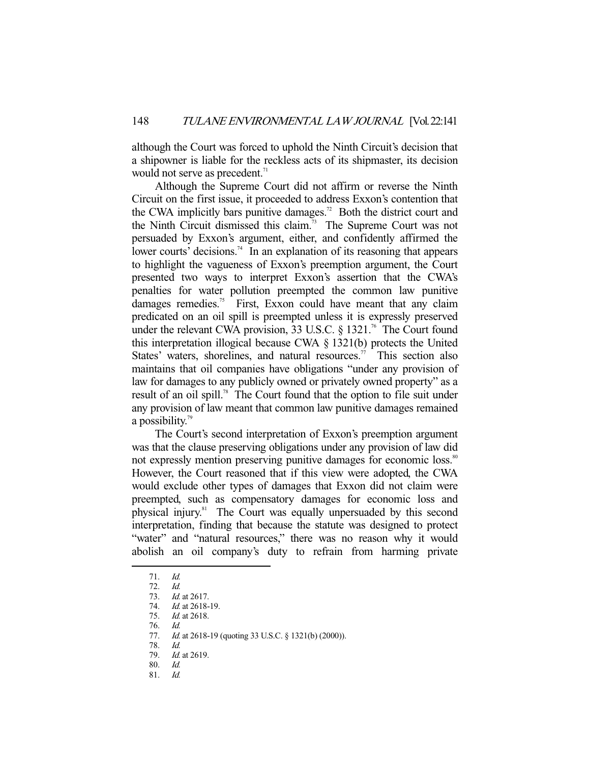although the Court was forced to uphold the Ninth Circuit's decision that a shipowner is liable for the reckless acts of its shipmaster, its decision would not serve as precedent.<sup>71</sup>

 Although the Supreme Court did not affirm or reverse the Ninth Circuit on the first issue, it proceeded to address Exxon's contention that the CWA implicitly bars punitive damages.<sup>72</sup> Both the district court and the Ninth Circuit dismissed this claim.73 The Supreme Court was not persuaded by Exxon's argument, either, and confidently affirmed the lower courts' decisions.<sup>74</sup> In an explanation of its reasoning that appears to highlight the vagueness of Exxon's preemption argument, the Court presented two ways to interpret Exxon's assertion that the CWA's penalties for water pollution preempted the common law punitive damages remedies.<sup>75</sup> First, Exxon could have meant that any claim predicated on an oil spill is preempted unless it is expressly preserved under the relevant CWA provision, 33 U.S.C.  $\frac{1321}{16}$  The Court found this interpretation illogical because CWA § 1321(b) protects the United States' waters, shorelines, and natural resources.<sup>77</sup> This section also maintains that oil companies have obligations "under any provision of law for damages to any publicly owned or privately owned property" as a result of an oil spill.<sup>78</sup> The Court found that the option to file suit under any provision of law meant that common law punitive damages remained a possibility.<sup>79</sup>

 The Court's second interpretation of Exxon's preemption argument was that the clause preserving obligations under any provision of law did not expressly mention preserving punitive damages for economic loss.<sup>80</sup> However, the Court reasoned that if this view were adopted, the CWA would exclude other types of damages that Exxon did not claim were preempted, such as compensatory damages for economic loss and physical injury.81 The Court was equally unpersuaded by this second interpretation, finding that because the statute was designed to protect "water" and "natural resources," there was no reason why it would abolish an oil company's duty to refrain from harming private

 <sup>71.</sup> Id.

 <sup>72.</sup> Id.

 <sup>73.</sup> Id. at 2617.

 <sup>74.</sup> Id. at 2618-19.

 <sup>75.</sup> Id. at 2618.

 <sup>76.</sup> Id.

<sup>77.</sup> *Id.* at 2618-19 (quoting 33 U.S.C. § 1321(b) (2000)).

 <sup>78.</sup> Id.

<sup>79.</sup> *Id.* at 2619.

 <sup>80.</sup> Id. 81. Id.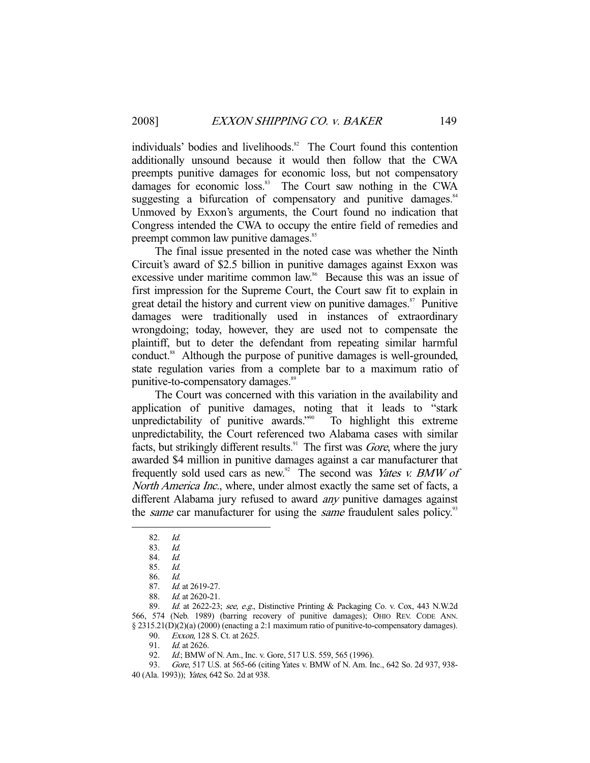individuals' bodies and livelihoods.<sup>82</sup> The Court found this contention additionally unsound because it would then follow that the CWA preempts punitive damages for economic loss, but not compensatory damages for economic loss.<sup>83</sup> The Court saw nothing in the CWA suggesting a bifurcation of compensatory and punitive damages.<sup>84</sup> Unmoved by Exxon's arguments, the Court found no indication that Congress intended the CWA to occupy the entire field of remedies and preempt common law punitive damages.<sup>85</sup>

 The final issue presented in the noted case was whether the Ninth Circuit's award of \$2.5 billion in punitive damages against Exxon was excessive under maritime common law.<sup>86</sup> Because this was an issue of first impression for the Supreme Court, the Court saw fit to explain in great detail the history and current view on punitive damages. $\frac{87}{12}$  Punitive damages were traditionally used in instances of extraordinary wrongdoing; today, however, they are used not to compensate the plaintiff, but to deter the defendant from repeating similar harmful conduct.<sup>88</sup> Although the purpose of punitive damages is well-grounded, state regulation varies from a complete bar to a maximum ratio of punitive-to-compensatory damages.<sup>89</sup>

 The Court was concerned with this variation in the availability and application of punitive damages, noting that it leads to "stark unpredictability of punitive awards."<sup>90</sup> To highlight this extreme unpredictability, the Court referenced two Alabama cases with similar facts, but strikingly different results.<sup>91</sup> The first was *Gore*, where the jury awarded \$4 million in punitive damages against a car manufacturer that frequently sold used cars as new.<sup>92</sup> The second was *Yates v. BMW of* North America Inc., where, under almost exactly the same set of facts, a different Alabama jury refused to award any punitive damages against the *same* car manufacturer for using the *same* fraudulent sales policy.<sup>93</sup>

-

92. Id.; BMW of N. Am., Inc. v. Gore, 517 U.S. 559, 565 (1996).

 <sup>82.</sup> Id.

 <sup>83.</sup> Id.

 <sup>84.</sup> Id.

 <sup>85.</sup> Id.

 <sup>86.</sup> Id.

 <sup>87.</sup> Id. at 2619-27.

 <sup>88.</sup> Id. at 2620-21.

 <sup>89.</sup> Id. at 2622-23; see, e.g., Distinctive Printing & Packaging Co. v. Cox, 443 N.W.2d 566, 574 (Neb. 1989) (barring recovery of punitive damages); OHIO REV. CODE ANN. § 2315.21(D)(2)(a) (2000) (enacting a 2:1 maximum ratio of punitive-to-compensatory damages).

<sup>90.</sup> *Exxon*, 128 S. Ct. at 2625.<br>91. *Id.* at 2626.

Id. at 2626.

 <sup>93.</sup> Gore, 517 U.S. at 565-66 (citing Yates v. BMW of N. Am. Inc., 642 So. 2d 937, 938- 40 (Ala. 1993)); Yates, 642 So. 2d at 938.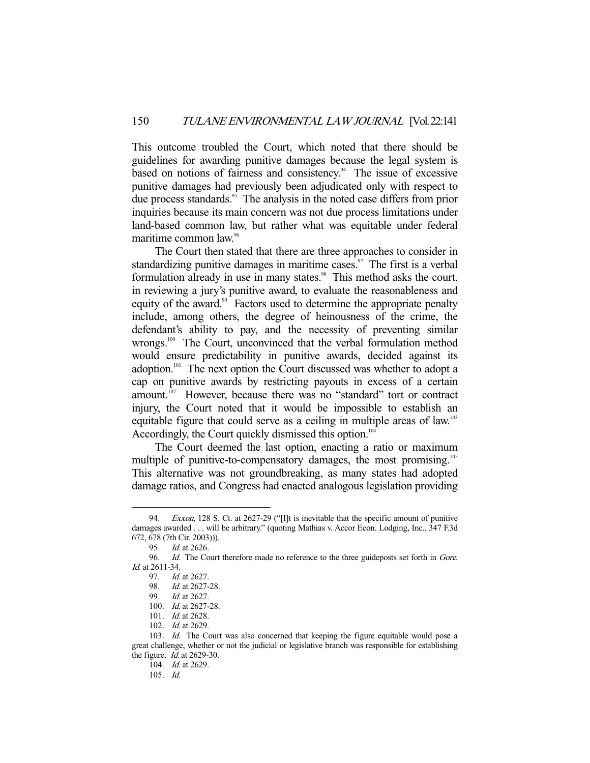This outcome troubled the Court, which noted that there should be guidelines for awarding punitive damages because the legal system is based on notions of fairness and consistency. $94$  The issue of excessive punitive damages had previously been adjudicated only with respect to due process standards.<sup>95</sup> The analysis in the noted case differs from prior inquiries because its main concern was not due process limitations under land-based common law, but rather what was equitable under federal maritime common law.<sup>96</sup>

 The Court then stated that there are three approaches to consider in standardizing punitive damages in maritime cases.<sup>97</sup> The first is a verbal formulation already in use in many states.<sup>98</sup> This method asks the court, in reviewing a jury's punitive award, to evaluate the reasonableness and equity of the award.<sup>99</sup> Factors used to determine the appropriate penalty include, among others, the degree of heinousness of the crime, the defendant's ability to pay, and the necessity of preventing similar wrongs.<sup>100</sup> The Court, unconvinced that the verbal formulation method would ensure predictability in punitive awards, decided against its adoption.<sup>101</sup> The next option the Court discussed was whether to adopt a cap on punitive awards by restricting payouts in excess of a certain amount.<sup>102</sup> However, because there was no "standard" tort or contract injury, the Court noted that it would be impossible to establish an equitable figure that could serve as a ceiling in multiple areas of law.<sup>103</sup> Accordingly, the Court quickly dismissed this option.<sup>104</sup>

 The Court deemed the last option, enacting a ratio or maximum multiple of punitive-to-compensatory damages, the most promising.<sup>105</sup> This alternative was not groundbreaking, as many states had adopted damage ratios, and Congress had enacted analogous legislation providing

<sup>94.</sup> Exxon, 128 S. Ct. at 2627-29 ("[I]t is inevitable that the specific amount of punitive damages awarded . . . will be arbitrary." (quoting Mathias v. Accor Econ. Lodging, Inc., 347 F.3d 672, 678 (7th Cir. 2003))).

 <sup>95.</sup> Id. at 2626.

<sup>96.</sup> Id. The Court therefore made no reference to the three guideposts set forth in Gore. Id. at 2611-34.

 <sup>97.</sup> Id. at 2627.

 <sup>98.</sup> Id. at 2627-28.

 <sup>99.</sup> Id. at 2627.

 <sup>100.</sup> Id. at 2627-28.

 <sup>101.</sup> Id. at 2628.

 <sup>102.</sup> Id. at 2629.

<sup>103.</sup> Id. The Court was also concerned that keeping the figure equitable would pose a great challenge, whether or not the judicial or legislative branch was responsible for establishing the figure. Id. at 2629-30.

<sup>104.</sup> *Id.* at 2629.

 <sup>105.</sup> Id.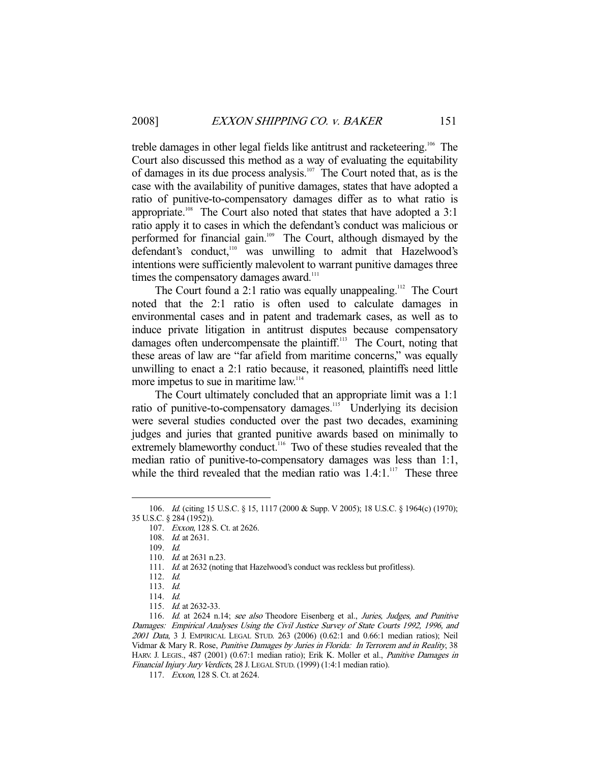treble damages in other legal fields like antitrust and racketeering.106 The Court also discussed this method as a way of evaluating the equitability of damages in its due process analysis.<sup>107</sup> The Court noted that, as is the case with the availability of punitive damages, states that have adopted a ratio of punitive-to-compensatory damages differ as to what ratio is appropriate.<sup>108</sup> The Court also noted that states that have adopted a  $3:1$ ratio apply it to cases in which the defendant's conduct was malicious or performed for financial gain.<sup>109</sup> The Court, although dismayed by the defendant's conduct,<sup>110</sup> was unwilling to admit that Hazelwood's intentions were sufficiently malevolent to warrant punitive damages three times the compensatory damages award.<sup>111</sup>

The Court found a 2:1 ratio was equally unappealing.<sup>112</sup> The Court noted that the 2:1 ratio is often used to calculate damages in environmental cases and in patent and trademark cases, as well as to induce private litigation in antitrust disputes because compensatory damages often undercompensate the plaintiff.<sup>113</sup> The Court, noting that these areas of law are "far afield from maritime concerns," was equally unwilling to enact a 2:1 ratio because, it reasoned, plaintiffs need little more impetus to sue in maritime law.<sup>114</sup>

 The Court ultimately concluded that an appropriate limit was a 1:1 ratio of punitive-to-compensatory damages.<sup>115</sup> Underlying its decision were several studies conducted over the past two decades, examining judges and juries that granted punitive awards based on minimally to extremely blameworthy conduct.<sup>116</sup> Two of these studies revealed that the median ratio of punitive-to-compensatory damages was less than 1:1, while the third revealed that the median ratio was  $1.4:1.^{117}$  These three

 <sup>106.</sup> Id. (citing 15 U.S.C. § 15, 1117 (2000 & Supp. V 2005); 18 U.S.C. § 1964(c) (1970); 35 U.S.C. § 284 (1952)).

 <sup>107.</sup> Exxon, 128 S. Ct. at 2626.

 <sup>108.</sup> Id. at 2631.

 <sup>109.</sup> Id.

<sup>110.</sup> *Id.* at 2631 n.23.

<sup>111.</sup> Id. at 2632 (noting that Hazelwood's conduct was reckless but profitless).

 <sup>112.</sup> Id.

 <sup>113.</sup> Id.

 <sup>114.</sup> Id.

 <sup>115.</sup> Id. at 2632-33.

<sup>116.</sup> Id. at 2624 n.14; see also Theodore Eisenberg et al., Juries, Judges, and Punitive Damages: Empirical Analyses Using the Civil Justice Survey of State Courts 1992, 1996, and 2001 Data, 3 J. EMPIRICAL LEGAL STUD. 263 (2006) (0.62:1 and 0.66:1 median ratios); Neil Vidmar & Mary R. Rose, Punitive Damages by Juries in Florida: In Terrorem and in Reality, 38 HARV. J. LEGIS., 487 (2001) (0.67:1 median ratio); Erik K. Moller et al., *Punitive Damages in* Financial Injury Jury Verdicts, 28 J. LEGAL STUD. (1999) (1:4:1 median ratio).

 <sup>117.</sup> Exxon, 128 S. Ct. at 2624.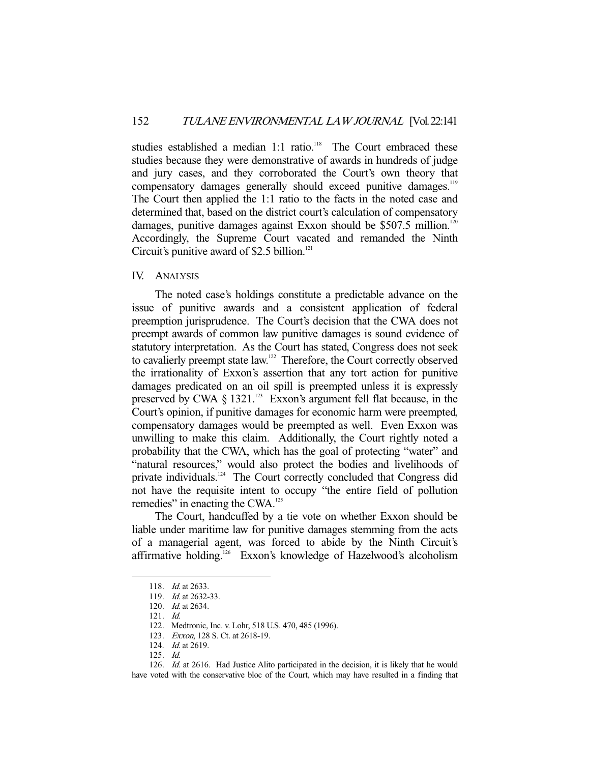studies established a median 1:1 ratio.<sup>118</sup> The Court embraced these studies because they were demonstrative of awards in hundreds of judge and jury cases, and they corroborated the Court's own theory that compensatory damages generally should exceed punitive damages.<sup>119</sup> The Court then applied the 1:1 ratio to the facts in the noted case and determined that, based on the district court's calculation of compensatory damages, punitive damages against Exxon should be  $$507.5$  million.<sup>120</sup> Accordingly, the Supreme Court vacated and remanded the Ninth Circuit's punitive award of \$2.5 billion. $121$ 

# IV. ANALYSIS

 The noted case's holdings constitute a predictable advance on the issue of punitive awards and a consistent application of federal preemption jurisprudence. The Court's decision that the CWA does not preempt awards of common law punitive damages is sound evidence of statutory interpretation. As the Court has stated, Congress does not seek to cavalierly preempt state law.<sup>122</sup> Therefore, the Court correctly observed the irrationality of Exxon's assertion that any tort action for punitive damages predicated on an oil spill is preempted unless it is expressly preserved by CWA  $\S$  1321.<sup>123</sup> Exxon's argument fell flat because, in the Court's opinion, if punitive damages for economic harm were preempted, compensatory damages would be preempted as well. Even Exxon was unwilling to make this claim. Additionally, the Court rightly noted a probability that the CWA, which has the goal of protecting "water" and "natural resources," would also protect the bodies and livelihoods of private individuals.<sup>124</sup> The Court correctly concluded that Congress did not have the requisite intent to occupy "the entire field of pollution remedies" in enacting the CWA.<sup>125</sup>

 The Court, handcuffed by a tie vote on whether Exxon should be liable under maritime law for punitive damages stemming from the acts of a managerial agent, was forced to abide by the Ninth Circuit's affirmative holding.<sup>126</sup> Exxon's knowledge of Hazelwood's alcoholism

<sup>118.</sup> *Id.* at 2633.

 <sup>119.</sup> Id. at 2632-33.

 <sup>120.</sup> Id. at 2634.

 <sup>121.</sup> Id.

 <sup>122.</sup> Medtronic, Inc. v. Lohr, 518 U.S. 470, 485 (1996).

 <sup>123.</sup> Exxon, 128 S. Ct. at 2618-19.

<sup>124.</sup> *Id.* at 2619.

 <sup>125.</sup> Id.

<sup>126.</sup> Id. at 2616. Had Justice Alito participated in the decision, it is likely that he would have voted with the conservative bloc of the Court, which may have resulted in a finding that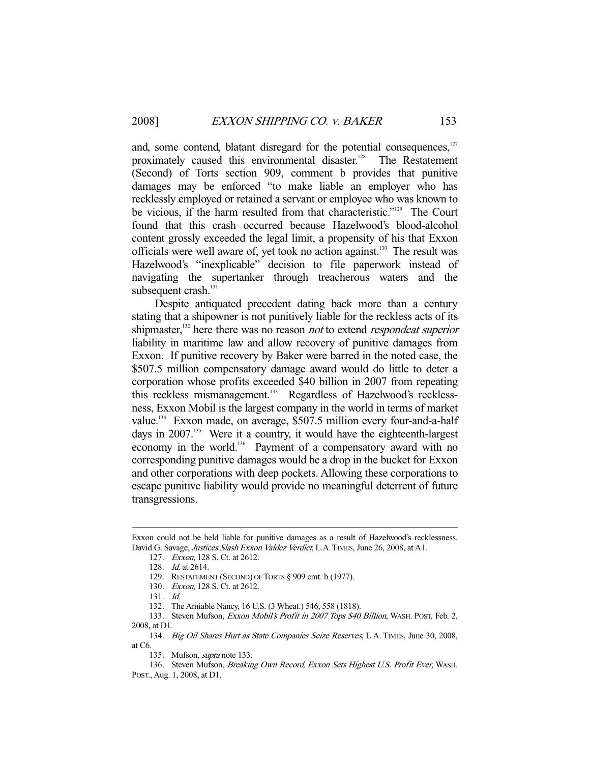and, some contend, blatant disregard for the potential consequences, $127$ proximately caused this environmental disaster.<sup>128</sup> The Restatement (Second) of Torts section 909, comment b provides that punitive damages may be enforced "to make liable an employer who has recklessly employed or retained a servant or employee who was known to be vicious, if the harm resulted from that characteristic."<sup>129</sup> The Court found that this crash occurred because Hazelwood's blood-alcohol content grossly exceeded the legal limit, a propensity of his that Exxon officials were well aware of, yet took no action against.<sup>130</sup> The result was Hazelwood's "inexplicable" decision to file paperwork instead of navigating the supertanker through treacherous waters and the subsequent crash.<sup>131</sup>

 Despite antiquated precedent dating back more than a century stating that a shipowner is not punitively liable for the reckless acts of its shipmaster,<sup>132</sup> here there was no reason *not* to extend *respondeat superior* liability in maritime law and allow recovery of punitive damages from Exxon. If punitive recovery by Baker were barred in the noted case, the \$507.5 million compensatory damage award would do little to deter a corporation whose profits exceeded \$40 billion in 2007 from repeating this reckless mismanagement.<sup>133</sup> Regardless of Hazelwood's recklessness, Exxon Mobil is the largest company in the world in terms of market value.<sup>134</sup> Exxon made, on average, \$507.5 million every four-and-a-half days in 2007.<sup>135</sup> Were it a country, it would have the eighteenth-largest economy in the world.<sup>136</sup> Payment of a compensatory award with no corresponding punitive damages would be a drop in the bucket for Exxon and other corporations with deep pockets. Allowing these corporations to escape punitive liability would provide no meaningful deterrent of future transgressions.

Exxon could not be held liable for punitive damages as a result of Hazelwood's recklessness. David G. Savage, *Justices Slash Exxon Valdez Verdict*, L.A. TIMES, June 26, 2008, at A1.

 <sup>127.</sup> Exxon, 128 S. Ct. at 2612.

 <sup>128.</sup> Id. at 2614.

 <sup>129.</sup> RESTATEMENT (SECOND) OF TORTS § 909 cmt. b (1977).

 <sup>130.</sup> Exxon, 128 S. Ct. at 2612.

 <sup>131.</sup> Id.

 <sup>132.</sup> The Amiable Nancy, 16 U.S. (3 Wheat.) 546, 558 (1818).

<sup>133.</sup> Steven Mufson, Exxon Mobil's Profit in 2007 Tops \$40 Billion, WASH. POST, Feb. 2, 2008, at D1.

<sup>134.</sup> Big Oil Shares Hurt as State Companies Seize Reserves, L.A. TIMES, June 30, 2008, at C6.

<sup>135.</sup> Mufson, *supra* note 133.

<sup>136.</sup> Steven Mufson, Breaking Own Record, Exxon Sets Highest U.S. Profit Ever, WASH. POST., Aug. 1, 2008, at D1.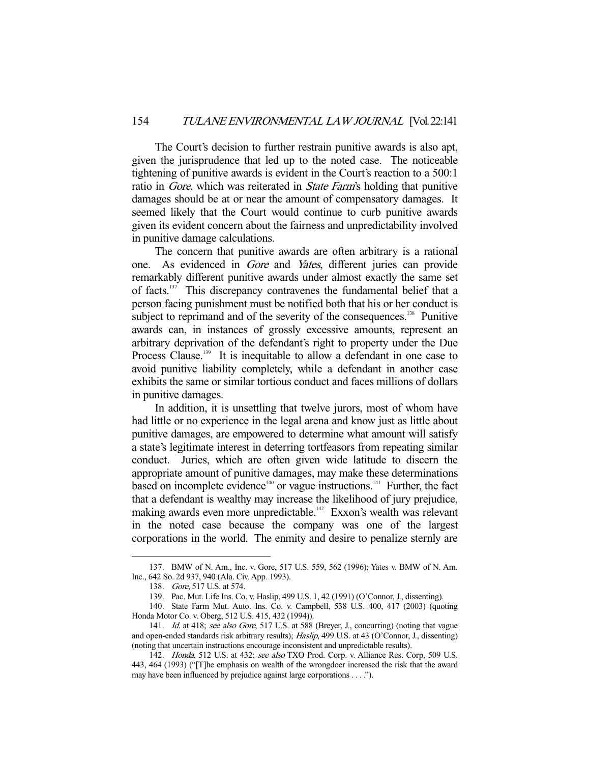The Court's decision to further restrain punitive awards is also apt, given the jurisprudence that led up to the noted case. The noticeable tightening of punitive awards is evident in the Court's reaction to a 500:1 ratio in *Gore*, which was reiterated in *State Farm's* holding that punitive damages should be at or near the amount of compensatory damages. It seemed likely that the Court would continue to curb punitive awards given its evident concern about the fairness and unpredictability involved in punitive damage calculations.

 The concern that punitive awards are often arbitrary is a rational one. As evidenced in Gore and Yates, different juries can provide remarkably different punitive awards under almost exactly the same set of facts.137 This discrepancy contravenes the fundamental belief that a person facing punishment must be notified both that his or her conduct is subject to reprimand and of the severity of the consequences.<sup>138</sup> Punitive awards can, in instances of grossly excessive amounts, represent an arbitrary deprivation of the defendant's right to property under the Due Process Clause.<sup>139</sup> It is inequitable to allow a defendant in one case to avoid punitive liability completely, while a defendant in another case exhibits the same or similar tortious conduct and faces millions of dollars in punitive damages.

 In addition, it is unsettling that twelve jurors, most of whom have had little or no experience in the legal arena and know just as little about punitive damages, are empowered to determine what amount will satisfy a state's legitimate interest in deterring tortfeasors from repeating similar conduct. Juries, which are often given wide latitude to discern the appropriate amount of punitive damages, may make these determinations based on incomplete evidence<sup>140</sup> or vague instructions.<sup>141</sup> Further, the fact that a defendant is wealthy may increase the likelihood of jury prejudice, making awards even more unpredictable.<sup>142</sup> Exxon's wealth was relevant in the noted case because the company was one of the largest corporations in the world. The enmity and desire to penalize sternly are

 <sup>137.</sup> BMW of N. Am., Inc. v. Gore, 517 U.S. 559, 562 (1996); Yates v. BMW of N. Am. Inc., 642 So. 2d 937, 940 (Ala. Civ. App. 1993).

 <sup>138.</sup> Gore, 517 U.S. at 574.

 <sup>139.</sup> Pac. Mut. Life Ins. Co. v. Haslip, 499 U.S. 1, 42 (1991) (O'Connor, J., dissenting).

 <sup>140.</sup> State Farm Mut. Auto. Ins. Co. v. Campbell, 538 U.S. 400, 417 (2003) (quoting Honda Motor Co. v. Oberg, 512 U.S. 415, 432 (1994)).

<sup>141.</sup> Id. at 418; see also Gore, 517 U.S. at 588 (Breyer, J., concurring) (noting that vague and open-ended standards risk arbitrary results); Haslip, 499 U.S. at 43 (O'Connor, J., dissenting) (noting that uncertain instructions encourage inconsistent and unpredictable results).

<sup>142.</sup> Honda, 512 U.S. at 432; see also TXO Prod. Corp. v. Alliance Res. Corp, 509 U.S. 443, 464 (1993) ("[T]he emphasis on wealth of the wrongdoer increased the risk that the award may have been influenced by prejudice against large corporations . . . .").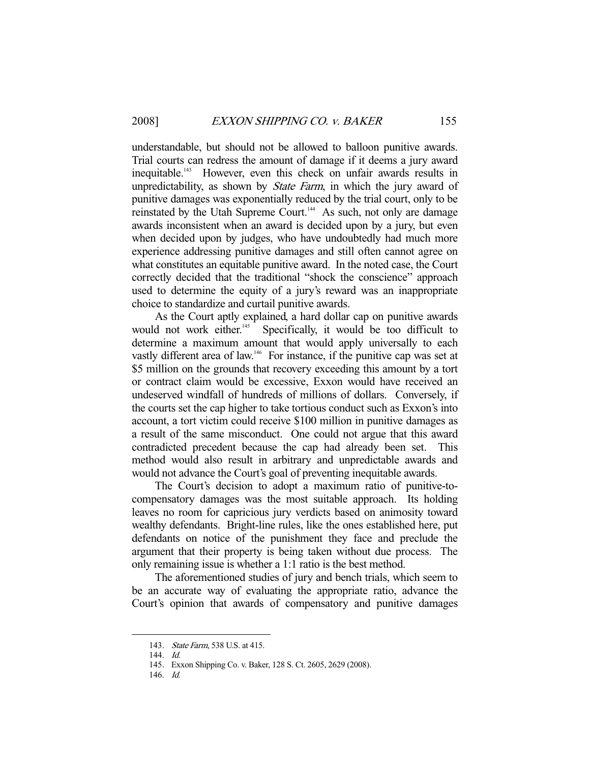understandable, but should not be allowed to balloon punitive awards. Trial courts can redress the amount of damage if it deems a jury award inequitable.<sup>143</sup> However, even this check on unfair awards results in unpredictability, as shown by *State Farm*, in which the jury award of punitive damages was exponentially reduced by the trial court, only to be reinstated by the Utah Supreme Court.<sup>144</sup> As such, not only are damage awards inconsistent when an award is decided upon by a jury, but even when decided upon by judges, who have undoubtedly had much more experience addressing punitive damages and still often cannot agree on what constitutes an equitable punitive award. In the noted case, the Court correctly decided that the traditional "shock the conscience" approach used to determine the equity of a jury's reward was an inappropriate choice to standardize and curtail punitive awards.

As the Court aptly explained, a hard dollar cap on punitive awards<br>would not work either.<sup>145</sup> Specifically, it would be too difficult to Specifically, it would be too difficult to determine a maximum amount that would apply universally to each vastly different area of law.<sup>146</sup> For instance, if the punitive cap was set at \$5 million on the grounds that recovery exceeding this amount by a tort or contract claim would be excessive, Exxon would have received an undeserved windfall of hundreds of millions of dollars. Conversely, if the courts set the cap higher to take tortious conduct such as Exxon's into account, a tort victim could receive \$100 million in punitive damages as a result of the same misconduct. One could not argue that this award contradicted precedent because the cap had already been set. This method would also result in arbitrary and unpredictable awards and would not advance the Court's goal of preventing inequitable awards.

 The Court's decision to adopt a maximum ratio of punitive-tocompensatory damages was the most suitable approach. Its holding leaves no room for capricious jury verdicts based on animosity toward wealthy defendants. Bright-line rules, like the ones established here, put defendants on notice of the punishment they face and preclude the argument that their property is being taken without due process. The only remaining issue is whether a 1:1 ratio is the best method.

 The aforementioned studies of jury and bench trials, which seem to be an accurate way of evaluating the appropriate ratio, advance the Court's opinion that awards of compensatory and punitive damages

<sup>143.</sup> State Farm, 538 U.S. at 415.

 <sup>144.</sup> Id.

 <sup>145.</sup> Exxon Shipping Co. v. Baker, 128 S. Ct. 2605, 2629 (2008).

 <sup>146.</sup> Id.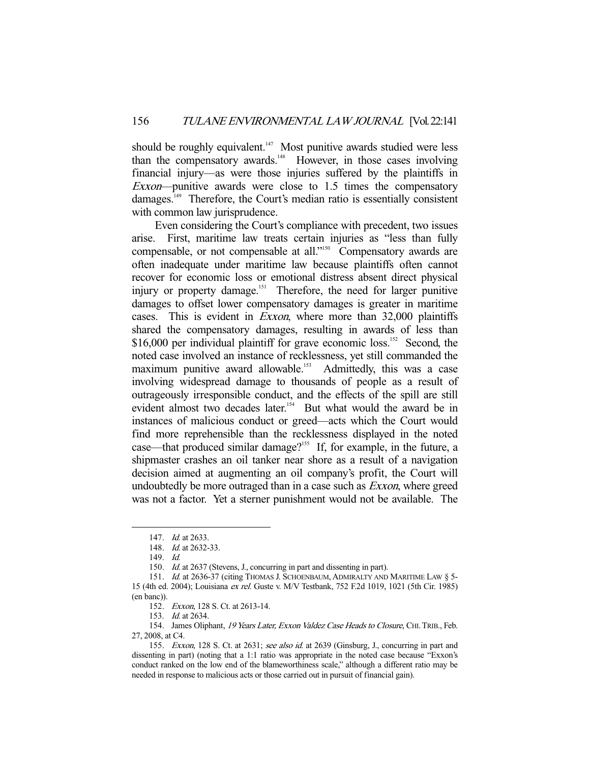should be roughly equivalent.<sup>147</sup> Most punitive awards studied were less than the compensatory awards.<sup>148</sup> However, in those cases involving financial injury—as were those injuries suffered by the plaintiffs in Exxon—punitive awards were close to 1.5 times the compensatory damages.<sup>149</sup> Therefore, the Court's median ratio is essentially consistent with common law jurisprudence.

 Even considering the Court's compliance with precedent, two issues arise. First, maritime law treats certain injuries as "less than fully compensable, or not compensable at all."<sup>150</sup> Compensatory awards are often inadequate under maritime law because plaintiffs often cannot recover for economic loss or emotional distress absent direct physical injury or property damage.<sup>151</sup> Therefore, the need for larger punitive damages to offset lower compensatory damages is greater in maritime cases. This is evident in Exxon, where more than 32,000 plaintiffs shared the compensatory damages, resulting in awards of less than \$16,000 per individual plaintiff for grave economic loss.<sup>152</sup> Second, the noted case involved an instance of recklessness, yet still commanded the maximum punitive award allowable.<sup>153</sup> Admittedly, this was a case involving widespread damage to thousands of people as a result of outrageously irresponsible conduct, and the effects of the spill are still evident almost two decades later.<sup>154</sup> But what would the award be in instances of malicious conduct or greed—acts which the Court would find more reprehensible than the recklessness displayed in the noted case—that produced similar damage?<sup>155</sup> If, for example, in the future, a shipmaster crashes an oil tanker near shore as a result of a navigation decision aimed at augmenting an oil company's profit, the Court will undoubtedly be more outraged than in a case such as *Exxon*, where greed was not a factor. Yet a sterner punishment would not be available. The

-

150. Id. at 2637 (Stevens, J., concurring in part and dissenting in part).

152. Exxon, 128 S. Ct. at 2613-14.

153. Id. at 2634.

154. James Oliphant, 19 Years Later, Exxon Valdez Case Heads to Closure, CHI. TRIB., Feb. 27, 2008, at C4.

<sup>147.</sup> *Id.* at 2633.

 <sup>148.</sup> Id. at 2632-33.

 <sup>149.</sup> Id.

<sup>151.</sup> Id. at 2636-37 (citing THOMAS J. SCHOENBAUM, ADMIRALTY AND MARITIME LAW § 5-15 (4th ed. 2004); Louisiana ex rel. Guste v. M/V Testbank, 752 F.2d 1019, 1021 (5th Cir. 1985) (en banc)).

<sup>155.</sup> Exxon, 128 S. Ct. at 2631; see also id. at 2639 (Ginsburg, J., concurring in part and dissenting in part) (noting that a 1:1 ratio was appropriate in the noted case because "Exxon's conduct ranked on the low end of the blameworthiness scale," although a different ratio may be needed in response to malicious acts or those carried out in pursuit of financial gain).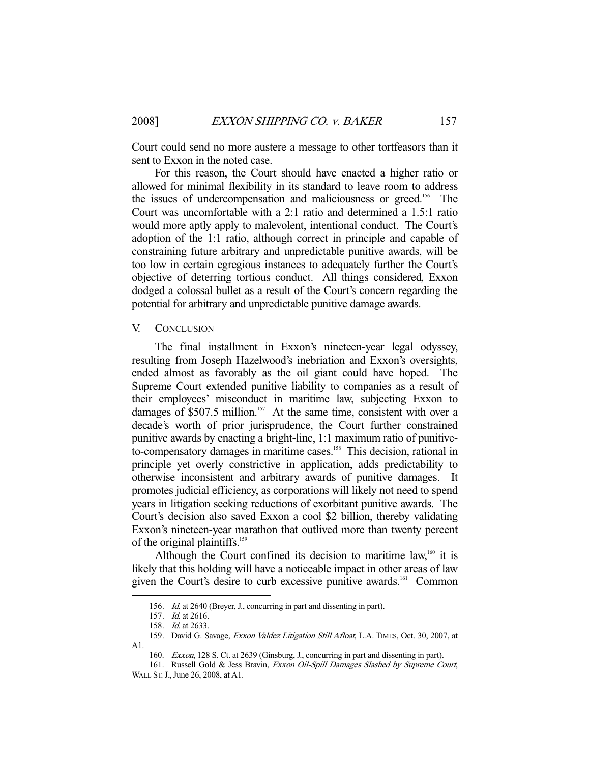Court could send no more austere a message to other tortfeasors than it sent to Exxon in the noted case.

 For this reason, the Court should have enacted a higher ratio or allowed for minimal flexibility in its standard to leave room to address the issues of undercompensation and maliciousness or greed.156 The Court was uncomfortable with a 2:1 ratio and determined a 1.5:1 ratio would more aptly apply to malevolent, intentional conduct. The Court's adoption of the 1:1 ratio, although correct in principle and capable of constraining future arbitrary and unpredictable punitive awards, will be too low in certain egregious instances to adequately further the Court's objective of deterring tortious conduct. All things considered, Exxon dodged a colossal bullet as a result of the Court's concern regarding the potential for arbitrary and unpredictable punitive damage awards.

### V. CONCLUSION

 The final installment in Exxon's nineteen-year legal odyssey, resulting from Joseph Hazelwood's inebriation and Exxon's oversights, ended almost as favorably as the oil giant could have hoped. The Supreme Court extended punitive liability to companies as a result of their employees' misconduct in maritime law, subjecting Exxon to damages of \$507.5 million.<sup>157</sup> At the same time, consistent with over a decade's worth of prior jurisprudence, the Court further constrained punitive awards by enacting a bright-line, 1:1 maximum ratio of punitiveto-compensatory damages in maritime cases.<sup>158</sup> This decision, rational in principle yet overly constrictive in application, adds predictability to otherwise inconsistent and arbitrary awards of punitive damages. It promotes judicial efficiency, as corporations will likely not need to spend years in litigation seeking reductions of exorbitant punitive awards. The Court's decision also saved Exxon a cool \$2 billion, thereby validating Exxon's nineteen-year marathon that outlived more than twenty percent of the original plaintiffs.<sup>159</sup>

Although the Court confined its decision to maritime law, $160$  it is likely that this holding will have a noticeable impact in other areas of law given the Court's desire to curb excessive punitive awards.<sup>161</sup> Common

<sup>156.</sup> Id. at 2640 (Breyer, J., concurring in part and dissenting in part).

 <sup>157.</sup> Id. at 2616.

<sup>158.</sup> *Id.* at 2633.

<sup>159.</sup> David G. Savage, Exxon Valdez Litigation Still Afloat, L.A. TIMES, Oct. 30, 2007, at A1.

 <sup>160.</sup> Exxon, 128 S. Ct. at 2639 (Ginsburg, J., concurring in part and dissenting in part).

<sup>161.</sup> Russell Gold & Jess Bravin, Exxon Oil-Spill Damages Slashed by Supreme Court, WALL ST.J., June 26, 2008, at A1.